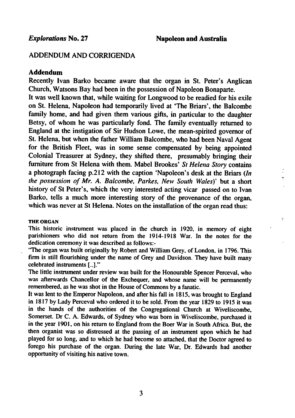ģ,

## ADDENDUM AND CORRIGENDA

## Addendum

Recently Ivan Barko became aware that the organ in St. Peter's Anglican Church, Watsons Bay had been in the possession of Napoleon Bonaparte. It was well known that, while waiting for Longwood to be readied for his exile on St. Helena, Napoleon had temporarily lived at 'The Briars', the Balcombe family home, and had given them various gifts, in particular to the daughter Betsy, of whom he was particularly fond. The family eventually returned to England at the instigation of Sir Hudson Lowe, the mean-spirited governor of St. Helena, but when the father William Balcombe, who had been Naval Agent for the British Fleet, was in some sense compensated by being appointed Colonial Treasurer at Sydney, they shifted there, presumably bringing their furniture from St Helena with them. Mabel Brookes' St Helena Story contains a photograph facing p.212 with the caption 'Napoleon's desk at the Briars  $(In$ the possession of Mr. A. Balcombe, Parkes, New South Wales)' but a short history of St Peter's, which the very interested acting vicar passed on to Ivan Barko, tells a much more interesting story of the provenance of the organ, which was never at St Helena. Notes on the installation of the organ read thus:

## THE ORGAN

This historic instrument was placed in the church in 1920, in memory of eight parishioners who did not return from the 1914-1918 War. In the notes for the dedication ceremony it was described as follows:-

"The organ was built originally by Robert and William Grey, of London, in 1796. This firm is still flourishing under the name of Grey and Davidson. They have built many celebrated instruments [..]."

The little instrument under review was built for the Honourable Spencer Perceval, who was afterwards Chancellor of the Exchequer, and whose name will be permanently remembered, as he was shot in the House of Commons by a fanatic.

It was lent to the Emperor Napoleon, and after his fall in 1815, was brought to England in 1817 by Lady Perceval who ordered it to be sold. From the year 1829 to 1915 it was in the hands of the authorities of the Congregational Church at Wiveliscombe, Somerset. Dr C. A. Edwards, of Sydney who was born in Wiveliscombe, purchased it in the year 1901, on his return to England from the Boer War in South Africa. But, the then organist was so distressed at the passing of an instrument upon which he had played for so long, and to which he had become so attached, that the Doctor agreed to forego his purchase of the organ. During the late War, Dr. Edwards had another opportunity of visiting his native town.